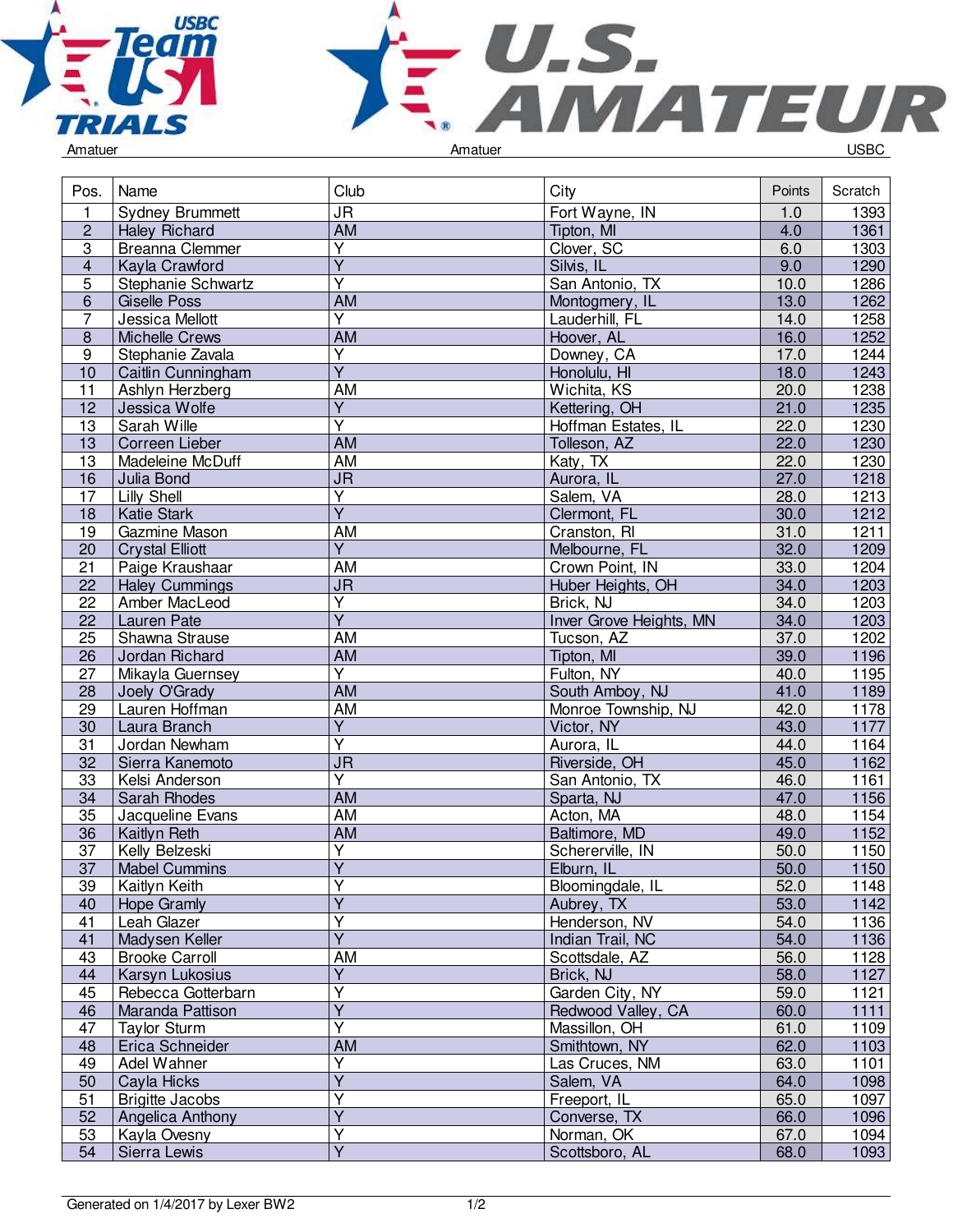



|  | Amatuer |  |
|--|---------|--|
|  |         |  |

| <b>JR</b><br>1393<br>1<br>Fort Wayne, IN<br><b>Sydney Brummett</b><br>1.0<br><b>AM</b><br>$\overline{2}$<br>4.0<br>1361<br><b>Haley Richard</b><br>Tipton, MI<br>$\overline{\mathsf{Y}}$<br>$\overline{3}$<br><b>Breanna Clemmer</b><br>Clover, SC<br>6.0<br>1303<br>$\overline{Y}$<br>Silvis, IL<br>9.0<br>1290<br>$\overline{4}$<br>Kayla Crawford<br>$\overline{\mathsf{Y}}$<br>$\overline{5}$<br>10.0<br>1286<br>Stephanie Schwartz<br>San Antonio, TX<br>1262<br>$\,6\,$<br>AM<br>13.0<br><b>Giselle Poss</b><br>Montogmery, IL<br>$\overline{Y}$<br>$\overline{7}$<br>1258<br>Jessica Mellott<br>Lauderhill, FL<br>14.0<br>16.0<br>1252<br>$\,8\,$<br><b>Michelle Crews</b><br><b>AM</b><br>Hoover, AL<br>$\boldsymbol{9}$<br>Υ<br>Stephanie Zavala<br>Downey, CA<br>17.0<br>1244<br>$\overline{Y}$<br>18.0<br>1243<br>10<br>Caitlin Cunningham<br>Honolulu, HI<br><b>AM</b><br>11<br>Wichita, KS<br>1238<br>Ashlyn Herzberg<br>20.0<br>$\overline{Y}$<br>21.0<br>1235<br>12<br>Jessica Wolfe<br>Kettering, OH<br>$\overline{\mathsf{Y}}$<br>$\overline{13}$<br>Sarah Wille<br>1230<br>Hoffman Estates, IL<br>22.0<br><b>AM</b><br>22.0<br>1230<br>13<br>Correen Lieber<br>Tolleson, AZ<br><b>AM</b><br>22.0<br>1230<br>13<br>Madeleine McDuff<br>Katy, TX<br>$\overline{\mathsf{J}\mathsf{R}}$<br>Aurora, IL<br>27.0<br>1218<br>16<br>Julia Bond<br><b>Lilly Shell</b><br>$\overline{Y}$<br>Salem, VA<br>28.0<br>1213<br>17<br>$\overline{\mathsf{Y}}$<br>30.0<br>1212<br><b>Katie Stark</b><br>Clermont, FL<br>18<br><b>AM</b><br>31.0<br>19<br>1211<br>Gazmine Mason<br>Cranston, RI<br>Y<br>32.0<br>1209<br>20<br>Melbourne, FL<br><b>Crystal Elliott</b><br><b>AM</b><br>21<br>Paige Kraushaar<br>Crown Point, IN<br>33.0<br>1204<br>$\overline{\mathsf{J}\mathsf{R}}$<br>34.0<br>1203<br>22<br>Huber Heights, OH<br><b>Haley Cummings</b><br>$\overline{Y}$<br>Brick, NJ<br>34.0<br>1203<br>22<br>Amber MacLeod<br>$\overline{Y}$<br>34.0<br>Inver Grove Heights, MN<br>1203<br>22<br>Lauren Pate<br>37.0<br>25<br>Shawna Strause<br>AM<br>1202<br>Tucson, AZ<br><b>AM</b><br>39.0<br>1196<br>Jordan Richard<br>Tipton, MI<br>26<br>$\overline{\mathsf{Y}}$<br>Fulton, NY<br>1195<br>27<br>Mikayla Guernsey<br>40.0<br>41.0<br>1189<br>28<br>AM<br>South Amboy, NJ<br>Joely O'Grady<br>1178<br>29<br>Lauren Hoffman<br>AM<br>42.0<br>Monroe Township, NJ<br>$\overline{Y}$<br>43.0<br>Victor, NY<br>1177<br>30<br>Laura Branch<br>$\overline{\mathsf{Y}}$<br>31<br>Jordan Newham<br>44.0<br>$\overline{1164}$<br>Aurora, IL<br>$\overline{\mathsf{J}\mathsf{R}}$<br>Riverside, OH<br>45.0<br>1162<br>32<br>Sierra Kanemoto<br>$\overline{\mathsf{Y}}$<br>33<br>Kelsi Anderson<br>San Antonio, TX<br>46.0<br>1161<br>$\overline{AM}$<br>47.0<br>1156<br>34<br>Sarah Rhodes<br>Sparta, NJ<br>35<br>AM<br>Acton, MA<br>48.0<br>1154<br>Jacqueline Evans<br><b>AM</b><br>Baltimore, MD<br>1152<br>49.0<br>36<br>Kaitlyn Reth<br>1150<br>$\overline{\mathsf{Y}}$<br>37<br>Kelly Belzeski<br>Schererville, IN<br>50.0<br>Y<br>37<br>50.0<br>1150<br><b>Mabel Cummins</b><br>Elburn, IL<br>39<br>Kaitlyn Keith<br>Y<br>Bloomingdale, IL<br>52.0<br>1148<br>$\overline{Y}$<br>53.0<br>40<br>1142<br><b>Hope Gramly</b><br>Aubrey, TX<br>$\overline{Y}$<br>41<br>1136<br>Henderson, NV<br>54.0<br>Leah Glazer<br>$\overline{\mathsf{Y}}$<br>41<br>54.0<br>1136<br>Madysen Keller<br>Indian Trail, NC<br>AM<br>43<br><b>Brooke Carroll</b><br>Scottsdale, AZ<br>56.0<br>1128<br>$\overline{Y}$<br>58.0<br>44<br>1127<br>Karsyn Lukosius<br>Brick, NJ<br>Ÿ<br>Garden City, NY<br>59.0<br>1121<br>45<br>Rebecca Gotterbarn<br>Ÿ<br>60.0<br>1111<br>46<br>Maranda Pattison<br>Redwood Valley, CA<br>$\overline{\mathsf{Y}}$<br>Massillon, OH<br>1109<br>47<br><b>Taylor Sturm</b><br>61.0<br>Smithtown, NY<br>Erica Schneider<br>AM<br>62.0<br>48<br>1103<br>Υ<br>Las Cruces, NM<br>63.0<br>49<br>Adel Wahner<br>1101<br>$\overline{Y}$<br>50<br>64.0<br>Salem, VA<br>1098<br>Cayla Hicks<br>Ÿ<br>51<br><b>Brigitte Jacobs</b><br>Freeport, IL<br>65.0<br>1097<br>$\overline{\mathsf{Y}}$<br>66.0<br>52<br>Converse, TX<br>1096<br>Angelica Anthony<br>Y<br>53<br>Norman, OK<br>67.0<br>1094<br>Kayla Ovesny<br>$\overline{Y}$<br>68.0<br>54<br>Scottsboro, AL<br>1093<br>Sierra Lewis | Pos. | Name | Club | City | Points | Scratch |
|---------------------------------------------------------------------------------------------------------------------------------------------------------------------------------------------------------------------------------------------------------------------------------------------------------------------------------------------------------------------------------------------------------------------------------------------------------------------------------------------------------------------------------------------------------------------------------------------------------------------------------------------------------------------------------------------------------------------------------------------------------------------------------------------------------------------------------------------------------------------------------------------------------------------------------------------------------------------------------------------------------------------------------------------------------------------------------------------------------------------------------------------------------------------------------------------------------------------------------------------------------------------------------------------------------------------------------------------------------------------------------------------------------------------------------------------------------------------------------------------------------------------------------------------------------------------------------------------------------------------------------------------------------------------------------------------------------------------------------------------------------------------------------------------------------------------------------------------------------------------------------------------------------------------------------------------------------------------------------------------------------------------------------------------------------------------------------------------------------------------------------------------------------------------------------------------------------------------------------------------------------------------------------------------------------------------------------------------------------------------------------------------------------------------------------------------------------------------------------------------------------------------------------------------------------------------------------------------------------------------------------------------------------------------------------------------------------------------------------------------------------------------------------------------------------------------------------------------------------------------------------------------------------------------------------------------------------------------------------------------------------------------------------------------------------------------------------------------------------------------------------------------------------------------------------------------------------------------------------------------------------------------------------------------------------------------------------------------------------------------------------------------------------------------------------------------------------------------------------------------------------------------------------------------------------------------------------------------------------------------------------------------------------------------------------------------------------------------------------------------------------------------------------------------------------------------------------------------------------------------------------------------------------------------------------------------------------------------------------------------------------------------------------------------------------------------------------------------------------------------------------------------------------------------------------------------------------------------------------------------------------------------------------------|------|------|------|------|--------|---------|
|                                                                                                                                                                                                                                                                                                                                                                                                                                                                                                                                                                                                                                                                                                                                                                                                                                                                                                                                                                                                                                                                                                                                                                                                                                                                                                                                                                                                                                                                                                                                                                                                                                                                                                                                                                                                                                                                                                                                                                                                                                                                                                                                                                                                                                                                                                                                                                                                                                                                                                                                                                                                                                                                                                                                                                                                                                                                                                                                                                                                                                                                                                                                                                                                                                                                                                                                                                                                                                                                                                                                                                                                                                                                                                                                                                                                                                                                                                                                                                                                                                                                                                                                                                                                                                                                                       |      |      |      |      |        |         |
|                                                                                                                                                                                                                                                                                                                                                                                                                                                                                                                                                                                                                                                                                                                                                                                                                                                                                                                                                                                                                                                                                                                                                                                                                                                                                                                                                                                                                                                                                                                                                                                                                                                                                                                                                                                                                                                                                                                                                                                                                                                                                                                                                                                                                                                                                                                                                                                                                                                                                                                                                                                                                                                                                                                                                                                                                                                                                                                                                                                                                                                                                                                                                                                                                                                                                                                                                                                                                                                                                                                                                                                                                                                                                                                                                                                                                                                                                                                                                                                                                                                                                                                                                                                                                                                                                       |      |      |      |      |        |         |
|                                                                                                                                                                                                                                                                                                                                                                                                                                                                                                                                                                                                                                                                                                                                                                                                                                                                                                                                                                                                                                                                                                                                                                                                                                                                                                                                                                                                                                                                                                                                                                                                                                                                                                                                                                                                                                                                                                                                                                                                                                                                                                                                                                                                                                                                                                                                                                                                                                                                                                                                                                                                                                                                                                                                                                                                                                                                                                                                                                                                                                                                                                                                                                                                                                                                                                                                                                                                                                                                                                                                                                                                                                                                                                                                                                                                                                                                                                                                                                                                                                                                                                                                                                                                                                                                                       |      |      |      |      |        |         |
|                                                                                                                                                                                                                                                                                                                                                                                                                                                                                                                                                                                                                                                                                                                                                                                                                                                                                                                                                                                                                                                                                                                                                                                                                                                                                                                                                                                                                                                                                                                                                                                                                                                                                                                                                                                                                                                                                                                                                                                                                                                                                                                                                                                                                                                                                                                                                                                                                                                                                                                                                                                                                                                                                                                                                                                                                                                                                                                                                                                                                                                                                                                                                                                                                                                                                                                                                                                                                                                                                                                                                                                                                                                                                                                                                                                                                                                                                                                                                                                                                                                                                                                                                                                                                                                                                       |      |      |      |      |        |         |
|                                                                                                                                                                                                                                                                                                                                                                                                                                                                                                                                                                                                                                                                                                                                                                                                                                                                                                                                                                                                                                                                                                                                                                                                                                                                                                                                                                                                                                                                                                                                                                                                                                                                                                                                                                                                                                                                                                                                                                                                                                                                                                                                                                                                                                                                                                                                                                                                                                                                                                                                                                                                                                                                                                                                                                                                                                                                                                                                                                                                                                                                                                                                                                                                                                                                                                                                                                                                                                                                                                                                                                                                                                                                                                                                                                                                                                                                                                                                                                                                                                                                                                                                                                                                                                                                                       |      |      |      |      |        |         |
|                                                                                                                                                                                                                                                                                                                                                                                                                                                                                                                                                                                                                                                                                                                                                                                                                                                                                                                                                                                                                                                                                                                                                                                                                                                                                                                                                                                                                                                                                                                                                                                                                                                                                                                                                                                                                                                                                                                                                                                                                                                                                                                                                                                                                                                                                                                                                                                                                                                                                                                                                                                                                                                                                                                                                                                                                                                                                                                                                                                                                                                                                                                                                                                                                                                                                                                                                                                                                                                                                                                                                                                                                                                                                                                                                                                                                                                                                                                                                                                                                                                                                                                                                                                                                                                                                       |      |      |      |      |        |         |
|                                                                                                                                                                                                                                                                                                                                                                                                                                                                                                                                                                                                                                                                                                                                                                                                                                                                                                                                                                                                                                                                                                                                                                                                                                                                                                                                                                                                                                                                                                                                                                                                                                                                                                                                                                                                                                                                                                                                                                                                                                                                                                                                                                                                                                                                                                                                                                                                                                                                                                                                                                                                                                                                                                                                                                                                                                                                                                                                                                                                                                                                                                                                                                                                                                                                                                                                                                                                                                                                                                                                                                                                                                                                                                                                                                                                                                                                                                                                                                                                                                                                                                                                                                                                                                                                                       |      |      |      |      |        |         |
|                                                                                                                                                                                                                                                                                                                                                                                                                                                                                                                                                                                                                                                                                                                                                                                                                                                                                                                                                                                                                                                                                                                                                                                                                                                                                                                                                                                                                                                                                                                                                                                                                                                                                                                                                                                                                                                                                                                                                                                                                                                                                                                                                                                                                                                                                                                                                                                                                                                                                                                                                                                                                                                                                                                                                                                                                                                                                                                                                                                                                                                                                                                                                                                                                                                                                                                                                                                                                                                                                                                                                                                                                                                                                                                                                                                                                                                                                                                                                                                                                                                                                                                                                                                                                                                                                       |      |      |      |      |        |         |
|                                                                                                                                                                                                                                                                                                                                                                                                                                                                                                                                                                                                                                                                                                                                                                                                                                                                                                                                                                                                                                                                                                                                                                                                                                                                                                                                                                                                                                                                                                                                                                                                                                                                                                                                                                                                                                                                                                                                                                                                                                                                                                                                                                                                                                                                                                                                                                                                                                                                                                                                                                                                                                                                                                                                                                                                                                                                                                                                                                                                                                                                                                                                                                                                                                                                                                                                                                                                                                                                                                                                                                                                                                                                                                                                                                                                                                                                                                                                                                                                                                                                                                                                                                                                                                                                                       |      |      |      |      |        |         |
|                                                                                                                                                                                                                                                                                                                                                                                                                                                                                                                                                                                                                                                                                                                                                                                                                                                                                                                                                                                                                                                                                                                                                                                                                                                                                                                                                                                                                                                                                                                                                                                                                                                                                                                                                                                                                                                                                                                                                                                                                                                                                                                                                                                                                                                                                                                                                                                                                                                                                                                                                                                                                                                                                                                                                                                                                                                                                                                                                                                                                                                                                                                                                                                                                                                                                                                                                                                                                                                                                                                                                                                                                                                                                                                                                                                                                                                                                                                                                                                                                                                                                                                                                                                                                                                                                       |      |      |      |      |        |         |
|                                                                                                                                                                                                                                                                                                                                                                                                                                                                                                                                                                                                                                                                                                                                                                                                                                                                                                                                                                                                                                                                                                                                                                                                                                                                                                                                                                                                                                                                                                                                                                                                                                                                                                                                                                                                                                                                                                                                                                                                                                                                                                                                                                                                                                                                                                                                                                                                                                                                                                                                                                                                                                                                                                                                                                                                                                                                                                                                                                                                                                                                                                                                                                                                                                                                                                                                                                                                                                                                                                                                                                                                                                                                                                                                                                                                                                                                                                                                                                                                                                                                                                                                                                                                                                                                                       |      |      |      |      |        |         |
|                                                                                                                                                                                                                                                                                                                                                                                                                                                                                                                                                                                                                                                                                                                                                                                                                                                                                                                                                                                                                                                                                                                                                                                                                                                                                                                                                                                                                                                                                                                                                                                                                                                                                                                                                                                                                                                                                                                                                                                                                                                                                                                                                                                                                                                                                                                                                                                                                                                                                                                                                                                                                                                                                                                                                                                                                                                                                                                                                                                                                                                                                                                                                                                                                                                                                                                                                                                                                                                                                                                                                                                                                                                                                                                                                                                                                                                                                                                                                                                                                                                                                                                                                                                                                                                                                       |      |      |      |      |        |         |
|                                                                                                                                                                                                                                                                                                                                                                                                                                                                                                                                                                                                                                                                                                                                                                                                                                                                                                                                                                                                                                                                                                                                                                                                                                                                                                                                                                                                                                                                                                                                                                                                                                                                                                                                                                                                                                                                                                                                                                                                                                                                                                                                                                                                                                                                                                                                                                                                                                                                                                                                                                                                                                                                                                                                                                                                                                                                                                                                                                                                                                                                                                                                                                                                                                                                                                                                                                                                                                                                                                                                                                                                                                                                                                                                                                                                                                                                                                                                                                                                                                                                                                                                                                                                                                                                                       |      |      |      |      |        |         |
|                                                                                                                                                                                                                                                                                                                                                                                                                                                                                                                                                                                                                                                                                                                                                                                                                                                                                                                                                                                                                                                                                                                                                                                                                                                                                                                                                                                                                                                                                                                                                                                                                                                                                                                                                                                                                                                                                                                                                                                                                                                                                                                                                                                                                                                                                                                                                                                                                                                                                                                                                                                                                                                                                                                                                                                                                                                                                                                                                                                                                                                                                                                                                                                                                                                                                                                                                                                                                                                                                                                                                                                                                                                                                                                                                                                                                                                                                                                                                                                                                                                                                                                                                                                                                                                                                       |      |      |      |      |        |         |
|                                                                                                                                                                                                                                                                                                                                                                                                                                                                                                                                                                                                                                                                                                                                                                                                                                                                                                                                                                                                                                                                                                                                                                                                                                                                                                                                                                                                                                                                                                                                                                                                                                                                                                                                                                                                                                                                                                                                                                                                                                                                                                                                                                                                                                                                                                                                                                                                                                                                                                                                                                                                                                                                                                                                                                                                                                                                                                                                                                                                                                                                                                                                                                                                                                                                                                                                                                                                                                                                                                                                                                                                                                                                                                                                                                                                                                                                                                                                                                                                                                                                                                                                                                                                                                                                                       |      |      |      |      |        |         |
|                                                                                                                                                                                                                                                                                                                                                                                                                                                                                                                                                                                                                                                                                                                                                                                                                                                                                                                                                                                                                                                                                                                                                                                                                                                                                                                                                                                                                                                                                                                                                                                                                                                                                                                                                                                                                                                                                                                                                                                                                                                                                                                                                                                                                                                                                                                                                                                                                                                                                                                                                                                                                                                                                                                                                                                                                                                                                                                                                                                                                                                                                                                                                                                                                                                                                                                                                                                                                                                                                                                                                                                                                                                                                                                                                                                                                                                                                                                                                                                                                                                                                                                                                                                                                                                                                       |      |      |      |      |        |         |
|                                                                                                                                                                                                                                                                                                                                                                                                                                                                                                                                                                                                                                                                                                                                                                                                                                                                                                                                                                                                                                                                                                                                                                                                                                                                                                                                                                                                                                                                                                                                                                                                                                                                                                                                                                                                                                                                                                                                                                                                                                                                                                                                                                                                                                                                                                                                                                                                                                                                                                                                                                                                                                                                                                                                                                                                                                                                                                                                                                                                                                                                                                                                                                                                                                                                                                                                                                                                                                                                                                                                                                                                                                                                                                                                                                                                                                                                                                                                                                                                                                                                                                                                                                                                                                                                                       |      |      |      |      |        |         |
|                                                                                                                                                                                                                                                                                                                                                                                                                                                                                                                                                                                                                                                                                                                                                                                                                                                                                                                                                                                                                                                                                                                                                                                                                                                                                                                                                                                                                                                                                                                                                                                                                                                                                                                                                                                                                                                                                                                                                                                                                                                                                                                                                                                                                                                                                                                                                                                                                                                                                                                                                                                                                                                                                                                                                                                                                                                                                                                                                                                                                                                                                                                                                                                                                                                                                                                                                                                                                                                                                                                                                                                                                                                                                                                                                                                                                                                                                                                                                                                                                                                                                                                                                                                                                                                                                       |      |      |      |      |        |         |
|                                                                                                                                                                                                                                                                                                                                                                                                                                                                                                                                                                                                                                                                                                                                                                                                                                                                                                                                                                                                                                                                                                                                                                                                                                                                                                                                                                                                                                                                                                                                                                                                                                                                                                                                                                                                                                                                                                                                                                                                                                                                                                                                                                                                                                                                                                                                                                                                                                                                                                                                                                                                                                                                                                                                                                                                                                                                                                                                                                                                                                                                                                                                                                                                                                                                                                                                                                                                                                                                                                                                                                                                                                                                                                                                                                                                                                                                                                                                                                                                                                                                                                                                                                                                                                                                                       |      |      |      |      |        |         |
|                                                                                                                                                                                                                                                                                                                                                                                                                                                                                                                                                                                                                                                                                                                                                                                                                                                                                                                                                                                                                                                                                                                                                                                                                                                                                                                                                                                                                                                                                                                                                                                                                                                                                                                                                                                                                                                                                                                                                                                                                                                                                                                                                                                                                                                                                                                                                                                                                                                                                                                                                                                                                                                                                                                                                                                                                                                                                                                                                                                                                                                                                                                                                                                                                                                                                                                                                                                                                                                                                                                                                                                                                                                                                                                                                                                                                                                                                                                                                                                                                                                                                                                                                                                                                                                                                       |      |      |      |      |        |         |
|                                                                                                                                                                                                                                                                                                                                                                                                                                                                                                                                                                                                                                                                                                                                                                                                                                                                                                                                                                                                                                                                                                                                                                                                                                                                                                                                                                                                                                                                                                                                                                                                                                                                                                                                                                                                                                                                                                                                                                                                                                                                                                                                                                                                                                                                                                                                                                                                                                                                                                                                                                                                                                                                                                                                                                                                                                                                                                                                                                                                                                                                                                                                                                                                                                                                                                                                                                                                                                                                                                                                                                                                                                                                                                                                                                                                                                                                                                                                                                                                                                                                                                                                                                                                                                                                                       |      |      |      |      |        |         |
|                                                                                                                                                                                                                                                                                                                                                                                                                                                                                                                                                                                                                                                                                                                                                                                                                                                                                                                                                                                                                                                                                                                                                                                                                                                                                                                                                                                                                                                                                                                                                                                                                                                                                                                                                                                                                                                                                                                                                                                                                                                                                                                                                                                                                                                                                                                                                                                                                                                                                                                                                                                                                                                                                                                                                                                                                                                                                                                                                                                                                                                                                                                                                                                                                                                                                                                                                                                                                                                                                                                                                                                                                                                                                                                                                                                                                                                                                                                                                                                                                                                                                                                                                                                                                                                                                       |      |      |      |      |        |         |
|                                                                                                                                                                                                                                                                                                                                                                                                                                                                                                                                                                                                                                                                                                                                                                                                                                                                                                                                                                                                                                                                                                                                                                                                                                                                                                                                                                                                                                                                                                                                                                                                                                                                                                                                                                                                                                                                                                                                                                                                                                                                                                                                                                                                                                                                                                                                                                                                                                                                                                                                                                                                                                                                                                                                                                                                                                                                                                                                                                                                                                                                                                                                                                                                                                                                                                                                                                                                                                                                                                                                                                                                                                                                                                                                                                                                                                                                                                                                                                                                                                                                                                                                                                                                                                                                                       |      |      |      |      |        |         |
|                                                                                                                                                                                                                                                                                                                                                                                                                                                                                                                                                                                                                                                                                                                                                                                                                                                                                                                                                                                                                                                                                                                                                                                                                                                                                                                                                                                                                                                                                                                                                                                                                                                                                                                                                                                                                                                                                                                                                                                                                                                                                                                                                                                                                                                                                                                                                                                                                                                                                                                                                                                                                                                                                                                                                                                                                                                                                                                                                                                                                                                                                                                                                                                                                                                                                                                                                                                                                                                                                                                                                                                                                                                                                                                                                                                                                                                                                                                                                                                                                                                                                                                                                                                                                                                                                       |      |      |      |      |        |         |
|                                                                                                                                                                                                                                                                                                                                                                                                                                                                                                                                                                                                                                                                                                                                                                                                                                                                                                                                                                                                                                                                                                                                                                                                                                                                                                                                                                                                                                                                                                                                                                                                                                                                                                                                                                                                                                                                                                                                                                                                                                                                                                                                                                                                                                                                                                                                                                                                                                                                                                                                                                                                                                                                                                                                                                                                                                                                                                                                                                                                                                                                                                                                                                                                                                                                                                                                                                                                                                                                                                                                                                                                                                                                                                                                                                                                                                                                                                                                                                                                                                                                                                                                                                                                                                                                                       |      |      |      |      |        |         |
|                                                                                                                                                                                                                                                                                                                                                                                                                                                                                                                                                                                                                                                                                                                                                                                                                                                                                                                                                                                                                                                                                                                                                                                                                                                                                                                                                                                                                                                                                                                                                                                                                                                                                                                                                                                                                                                                                                                                                                                                                                                                                                                                                                                                                                                                                                                                                                                                                                                                                                                                                                                                                                                                                                                                                                                                                                                                                                                                                                                                                                                                                                                                                                                                                                                                                                                                                                                                                                                                                                                                                                                                                                                                                                                                                                                                                                                                                                                                                                                                                                                                                                                                                                                                                                                                                       |      |      |      |      |        |         |
|                                                                                                                                                                                                                                                                                                                                                                                                                                                                                                                                                                                                                                                                                                                                                                                                                                                                                                                                                                                                                                                                                                                                                                                                                                                                                                                                                                                                                                                                                                                                                                                                                                                                                                                                                                                                                                                                                                                                                                                                                                                                                                                                                                                                                                                                                                                                                                                                                                                                                                                                                                                                                                                                                                                                                                                                                                                                                                                                                                                                                                                                                                                                                                                                                                                                                                                                                                                                                                                                                                                                                                                                                                                                                                                                                                                                                                                                                                                                                                                                                                                                                                                                                                                                                                                                                       |      |      |      |      |        |         |
|                                                                                                                                                                                                                                                                                                                                                                                                                                                                                                                                                                                                                                                                                                                                                                                                                                                                                                                                                                                                                                                                                                                                                                                                                                                                                                                                                                                                                                                                                                                                                                                                                                                                                                                                                                                                                                                                                                                                                                                                                                                                                                                                                                                                                                                                                                                                                                                                                                                                                                                                                                                                                                                                                                                                                                                                                                                                                                                                                                                                                                                                                                                                                                                                                                                                                                                                                                                                                                                                                                                                                                                                                                                                                                                                                                                                                                                                                                                                                                                                                                                                                                                                                                                                                                                                                       |      |      |      |      |        |         |
|                                                                                                                                                                                                                                                                                                                                                                                                                                                                                                                                                                                                                                                                                                                                                                                                                                                                                                                                                                                                                                                                                                                                                                                                                                                                                                                                                                                                                                                                                                                                                                                                                                                                                                                                                                                                                                                                                                                                                                                                                                                                                                                                                                                                                                                                                                                                                                                                                                                                                                                                                                                                                                                                                                                                                                                                                                                                                                                                                                                                                                                                                                                                                                                                                                                                                                                                                                                                                                                                                                                                                                                                                                                                                                                                                                                                                                                                                                                                                                                                                                                                                                                                                                                                                                                                                       |      |      |      |      |        |         |
|                                                                                                                                                                                                                                                                                                                                                                                                                                                                                                                                                                                                                                                                                                                                                                                                                                                                                                                                                                                                                                                                                                                                                                                                                                                                                                                                                                                                                                                                                                                                                                                                                                                                                                                                                                                                                                                                                                                                                                                                                                                                                                                                                                                                                                                                                                                                                                                                                                                                                                                                                                                                                                                                                                                                                                                                                                                                                                                                                                                                                                                                                                                                                                                                                                                                                                                                                                                                                                                                                                                                                                                                                                                                                                                                                                                                                                                                                                                                                                                                                                                                                                                                                                                                                                                                                       |      |      |      |      |        |         |
|                                                                                                                                                                                                                                                                                                                                                                                                                                                                                                                                                                                                                                                                                                                                                                                                                                                                                                                                                                                                                                                                                                                                                                                                                                                                                                                                                                                                                                                                                                                                                                                                                                                                                                                                                                                                                                                                                                                                                                                                                                                                                                                                                                                                                                                                                                                                                                                                                                                                                                                                                                                                                                                                                                                                                                                                                                                                                                                                                                                                                                                                                                                                                                                                                                                                                                                                                                                                                                                                                                                                                                                                                                                                                                                                                                                                                                                                                                                                                                                                                                                                                                                                                                                                                                                                                       |      |      |      |      |        |         |
|                                                                                                                                                                                                                                                                                                                                                                                                                                                                                                                                                                                                                                                                                                                                                                                                                                                                                                                                                                                                                                                                                                                                                                                                                                                                                                                                                                                                                                                                                                                                                                                                                                                                                                                                                                                                                                                                                                                                                                                                                                                                                                                                                                                                                                                                                                                                                                                                                                                                                                                                                                                                                                                                                                                                                                                                                                                                                                                                                                                                                                                                                                                                                                                                                                                                                                                                                                                                                                                                                                                                                                                                                                                                                                                                                                                                                                                                                                                                                                                                                                                                                                                                                                                                                                                                                       |      |      |      |      |        |         |
|                                                                                                                                                                                                                                                                                                                                                                                                                                                                                                                                                                                                                                                                                                                                                                                                                                                                                                                                                                                                                                                                                                                                                                                                                                                                                                                                                                                                                                                                                                                                                                                                                                                                                                                                                                                                                                                                                                                                                                                                                                                                                                                                                                                                                                                                                                                                                                                                                                                                                                                                                                                                                                                                                                                                                                                                                                                                                                                                                                                                                                                                                                                                                                                                                                                                                                                                                                                                                                                                                                                                                                                                                                                                                                                                                                                                                                                                                                                                                                                                                                                                                                                                                                                                                                                                                       |      |      |      |      |        |         |
|                                                                                                                                                                                                                                                                                                                                                                                                                                                                                                                                                                                                                                                                                                                                                                                                                                                                                                                                                                                                                                                                                                                                                                                                                                                                                                                                                                                                                                                                                                                                                                                                                                                                                                                                                                                                                                                                                                                                                                                                                                                                                                                                                                                                                                                                                                                                                                                                                                                                                                                                                                                                                                                                                                                                                                                                                                                                                                                                                                                                                                                                                                                                                                                                                                                                                                                                                                                                                                                                                                                                                                                                                                                                                                                                                                                                                                                                                                                                                                                                                                                                                                                                                                                                                                                                                       |      |      |      |      |        |         |
|                                                                                                                                                                                                                                                                                                                                                                                                                                                                                                                                                                                                                                                                                                                                                                                                                                                                                                                                                                                                                                                                                                                                                                                                                                                                                                                                                                                                                                                                                                                                                                                                                                                                                                                                                                                                                                                                                                                                                                                                                                                                                                                                                                                                                                                                                                                                                                                                                                                                                                                                                                                                                                                                                                                                                                                                                                                                                                                                                                                                                                                                                                                                                                                                                                                                                                                                                                                                                                                                                                                                                                                                                                                                                                                                                                                                                                                                                                                                                                                                                                                                                                                                                                                                                                                                                       |      |      |      |      |        |         |
|                                                                                                                                                                                                                                                                                                                                                                                                                                                                                                                                                                                                                                                                                                                                                                                                                                                                                                                                                                                                                                                                                                                                                                                                                                                                                                                                                                                                                                                                                                                                                                                                                                                                                                                                                                                                                                                                                                                                                                                                                                                                                                                                                                                                                                                                                                                                                                                                                                                                                                                                                                                                                                                                                                                                                                                                                                                                                                                                                                                                                                                                                                                                                                                                                                                                                                                                                                                                                                                                                                                                                                                                                                                                                                                                                                                                                                                                                                                                                                                                                                                                                                                                                                                                                                                                                       |      |      |      |      |        |         |
|                                                                                                                                                                                                                                                                                                                                                                                                                                                                                                                                                                                                                                                                                                                                                                                                                                                                                                                                                                                                                                                                                                                                                                                                                                                                                                                                                                                                                                                                                                                                                                                                                                                                                                                                                                                                                                                                                                                                                                                                                                                                                                                                                                                                                                                                                                                                                                                                                                                                                                                                                                                                                                                                                                                                                                                                                                                                                                                                                                                                                                                                                                                                                                                                                                                                                                                                                                                                                                                                                                                                                                                                                                                                                                                                                                                                                                                                                                                                                                                                                                                                                                                                                                                                                                                                                       |      |      |      |      |        |         |
|                                                                                                                                                                                                                                                                                                                                                                                                                                                                                                                                                                                                                                                                                                                                                                                                                                                                                                                                                                                                                                                                                                                                                                                                                                                                                                                                                                                                                                                                                                                                                                                                                                                                                                                                                                                                                                                                                                                                                                                                                                                                                                                                                                                                                                                                                                                                                                                                                                                                                                                                                                                                                                                                                                                                                                                                                                                                                                                                                                                                                                                                                                                                                                                                                                                                                                                                                                                                                                                                                                                                                                                                                                                                                                                                                                                                                                                                                                                                                                                                                                                                                                                                                                                                                                                                                       |      |      |      |      |        |         |
|                                                                                                                                                                                                                                                                                                                                                                                                                                                                                                                                                                                                                                                                                                                                                                                                                                                                                                                                                                                                                                                                                                                                                                                                                                                                                                                                                                                                                                                                                                                                                                                                                                                                                                                                                                                                                                                                                                                                                                                                                                                                                                                                                                                                                                                                                                                                                                                                                                                                                                                                                                                                                                                                                                                                                                                                                                                                                                                                                                                                                                                                                                                                                                                                                                                                                                                                                                                                                                                                                                                                                                                                                                                                                                                                                                                                                                                                                                                                                                                                                                                                                                                                                                                                                                                                                       |      |      |      |      |        |         |
|                                                                                                                                                                                                                                                                                                                                                                                                                                                                                                                                                                                                                                                                                                                                                                                                                                                                                                                                                                                                                                                                                                                                                                                                                                                                                                                                                                                                                                                                                                                                                                                                                                                                                                                                                                                                                                                                                                                                                                                                                                                                                                                                                                                                                                                                                                                                                                                                                                                                                                                                                                                                                                                                                                                                                                                                                                                                                                                                                                                                                                                                                                                                                                                                                                                                                                                                                                                                                                                                                                                                                                                                                                                                                                                                                                                                                                                                                                                                                                                                                                                                                                                                                                                                                                                                                       |      |      |      |      |        |         |
|                                                                                                                                                                                                                                                                                                                                                                                                                                                                                                                                                                                                                                                                                                                                                                                                                                                                                                                                                                                                                                                                                                                                                                                                                                                                                                                                                                                                                                                                                                                                                                                                                                                                                                                                                                                                                                                                                                                                                                                                                                                                                                                                                                                                                                                                                                                                                                                                                                                                                                                                                                                                                                                                                                                                                                                                                                                                                                                                                                                                                                                                                                                                                                                                                                                                                                                                                                                                                                                                                                                                                                                                                                                                                                                                                                                                                                                                                                                                                                                                                                                                                                                                                                                                                                                                                       |      |      |      |      |        |         |
|                                                                                                                                                                                                                                                                                                                                                                                                                                                                                                                                                                                                                                                                                                                                                                                                                                                                                                                                                                                                                                                                                                                                                                                                                                                                                                                                                                                                                                                                                                                                                                                                                                                                                                                                                                                                                                                                                                                                                                                                                                                                                                                                                                                                                                                                                                                                                                                                                                                                                                                                                                                                                                                                                                                                                                                                                                                                                                                                                                                                                                                                                                                                                                                                                                                                                                                                                                                                                                                                                                                                                                                                                                                                                                                                                                                                                                                                                                                                                                                                                                                                                                                                                                                                                                                                                       |      |      |      |      |        |         |
|                                                                                                                                                                                                                                                                                                                                                                                                                                                                                                                                                                                                                                                                                                                                                                                                                                                                                                                                                                                                                                                                                                                                                                                                                                                                                                                                                                                                                                                                                                                                                                                                                                                                                                                                                                                                                                                                                                                                                                                                                                                                                                                                                                                                                                                                                                                                                                                                                                                                                                                                                                                                                                                                                                                                                                                                                                                                                                                                                                                                                                                                                                                                                                                                                                                                                                                                                                                                                                                                                                                                                                                                                                                                                                                                                                                                                                                                                                                                                                                                                                                                                                                                                                                                                                                                                       |      |      |      |      |        |         |
|                                                                                                                                                                                                                                                                                                                                                                                                                                                                                                                                                                                                                                                                                                                                                                                                                                                                                                                                                                                                                                                                                                                                                                                                                                                                                                                                                                                                                                                                                                                                                                                                                                                                                                                                                                                                                                                                                                                                                                                                                                                                                                                                                                                                                                                                                                                                                                                                                                                                                                                                                                                                                                                                                                                                                                                                                                                                                                                                                                                                                                                                                                                                                                                                                                                                                                                                                                                                                                                                                                                                                                                                                                                                                                                                                                                                                                                                                                                                                                                                                                                                                                                                                                                                                                                                                       |      |      |      |      |        |         |
|                                                                                                                                                                                                                                                                                                                                                                                                                                                                                                                                                                                                                                                                                                                                                                                                                                                                                                                                                                                                                                                                                                                                                                                                                                                                                                                                                                                                                                                                                                                                                                                                                                                                                                                                                                                                                                                                                                                                                                                                                                                                                                                                                                                                                                                                                                                                                                                                                                                                                                                                                                                                                                                                                                                                                                                                                                                                                                                                                                                                                                                                                                                                                                                                                                                                                                                                                                                                                                                                                                                                                                                                                                                                                                                                                                                                                                                                                                                                                                                                                                                                                                                                                                                                                                                                                       |      |      |      |      |        |         |
|                                                                                                                                                                                                                                                                                                                                                                                                                                                                                                                                                                                                                                                                                                                                                                                                                                                                                                                                                                                                                                                                                                                                                                                                                                                                                                                                                                                                                                                                                                                                                                                                                                                                                                                                                                                                                                                                                                                                                                                                                                                                                                                                                                                                                                                                                                                                                                                                                                                                                                                                                                                                                                                                                                                                                                                                                                                                                                                                                                                                                                                                                                                                                                                                                                                                                                                                                                                                                                                                                                                                                                                                                                                                                                                                                                                                                                                                                                                                                                                                                                                                                                                                                                                                                                                                                       |      |      |      |      |        |         |
|                                                                                                                                                                                                                                                                                                                                                                                                                                                                                                                                                                                                                                                                                                                                                                                                                                                                                                                                                                                                                                                                                                                                                                                                                                                                                                                                                                                                                                                                                                                                                                                                                                                                                                                                                                                                                                                                                                                                                                                                                                                                                                                                                                                                                                                                                                                                                                                                                                                                                                                                                                                                                                                                                                                                                                                                                                                                                                                                                                                                                                                                                                                                                                                                                                                                                                                                                                                                                                                                                                                                                                                                                                                                                                                                                                                                                                                                                                                                                                                                                                                                                                                                                                                                                                                                                       |      |      |      |      |        |         |
|                                                                                                                                                                                                                                                                                                                                                                                                                                                                                                                                                                                                                                                                                                                                                                                                                                                                                                                                                                                                                                                                                                                                                                                                                                                                                                                                                                                                                                                                                                                                                                                                                                                                                                                                                                                                                                                                                                                                                                                                                                                                                                                                                                                                                                                                                                                                                                                                                                                                                                                                                                                                                                                                                                                                                                                                                                                                                                                                                                                                                                                                                                                                                                                                                                                                                                                                                                                                                                                                                                                                                                                                                                                                                                                                                                                                                                                                                                                                                                                                                                                                                                                                                                                                                                                                                       |      |      |      |      |        |         |
|                                                                                                                                                                                                                                                                                                                                                                                                                                                                                                                                                                                                                                                                                                                                                                                                                                                                                                                                                                                                                                                                                                                                                                                                                                                                                                                                                                                                                                                                                                                                                                                                                                                                                                                                                                                                                                                                                                                                                                                                                                                                                                                                                                                                                                                                                                                                                                                                                                                                                                                                                                                                                                                                                                                                                                                                                                                                                                                                                                                                                                                                                                                                                                                                                                                                                                                                                                                                                                                                                                                                                                                                                                                                                                                                                                                                                                                                                                                                                                                                                                                                                                                                                                                                                                                                                       |      |      |      |      |        |         |
|                                                                                                                                                                                                                                                                                                                                                                                                                                                                                                                                                                                                                                                                                                                                                                                                                                                                                                                                                                                                                                                                                                                                                                                                                                                                                                                                                                                                                                                                                                                                                                                                                                                                                                                                                                                                                                                                                                                                                                                                                                                                                                                                                                                                                                                                                                                                                                                                                                                                                                                                                                                                                                                                                                                                                                                                                                                                                                                                                                                                                                                                                                                                                                                                                                                                                                                                                                                                                                                                                                                                                                                                                                                                                                                                                                                                                                                                                                                                                                                                                                                                                                                                                                                                                                                                                       |      |      |      |      |        |         |
|                                                                                                                                                                                                                                                                                                                                                                                                                                                                                                                                                                                                                                                                                                                                                                                                                                                                                                                                                                                                                                                                                                                                                                                                                                                                                                                                                                                                                                                                                                                                                                                                                                                                                                                                                                                                                                                                                                                                                                                                                                                                                                                                                                                                                                                                                                                                                                                                                                                                                                                                                                                                                                                                                                                                                                                                                                                                                                                                                                                                                                                                                                                                                                                                                                                                                                                                                                                                                                                                                                                                                                                                                                                                                                                                                                                                                                                                                                                                                                                                                                                                                                                                                                                                                                                                                       |      |      |      |      |        |         |
|                                                                                                                                                                                                                                                                                                                                                                                                                                                                                                                                                                                                                                                                                                                                                                                                                                                                                                                                                                                                                                                                                                                                                                                                                                                                                                                                                                                                                                                                                                                                                                                                                                                                                                                                                                                                                                                                                                                                                                                                                                                                                                                                                                                                                                                                                                                                                                                                                                                                                                                                                                                                                                                                                                                                                                                                                                                                                                                                                                                                                                                                                                                                                                                                                                                                                                                                                                                                                                                                                                                                                                                                                                                                                                                                                                                                                                                                                                                                                                                                                                                                                                                                                                                                                                                                                       |      |      |      |      |        |         |
|                                                                                                                                                                                                                                                                                                                                                                                                                                                                                                                                                                                                                                                                                                                                                                                                                                                                                                                                                                                                                                                                                                                                                                                                                                                                                                                                                                                                                                                                                                                                                                                                                                                                                                                                                                                                                                                                                                                                                                                                                                                                                                                                                                                                                                                                                                                                                                                                                                                                                                                                                                                                                                                                                                                                                                                                                                                                                                                                                                                                                                                                                                                                                                                                                                                                                                                                                                                                                                                                                                                                                                                                                                                                                                                                                                                                                                                                                                                                                                                                                                                                                                                                                                                                                                                                                       |      |      |      |      |        |         |
|                                                                                                                                                                                                                                                                                                                                                                                                                                                                                                                                                                                                                                                                                                                                                                                                                                                                                                                                                                                                                                                                                                                                                                                                                                                                                                                                                                                                                                                                                                                                                                                                                                                                                                                                                                                                                                                                                                                                                                                                                                                                                                                                                                                                                                                                                                                                                                                                                                                                                                                                                                                                                                                                                                                                                                                                                                                                                                                                                                                                                                                                                                                                                                                                                                                                                                                                                                                                                                                                                                                                                                                                                                                                                                                                                                                                                                                                                                                                                                                                                                                                                                                                                                                                                                                                                       |      |      |      |      |        |         |
|                                                                                                                                                                                                                                                                                                                                                                                                                                                                                                                                                                                                                                                                                                                                                                                                                                                                                                                                                                                                                                                                                                                                                                                                                                                                                                                                                                                                                                                                                                                                                                                                                                                                                                                                                                                                                                                                                                                                                                                                                                                                                                                                                                                                                                                                                                                                                                                                                                                                                                                                                                                                                                                                                                                                                                                                                                                                                                                                                                                                                                                                                                                                                                                                                                                                                                                                                                                                                                                                                                                                                                                                                                                                                                                                                                                                                                                                                                                                                                                                                                                                                                                                                                                                                                                                                       |      |      |      |      |        |         |